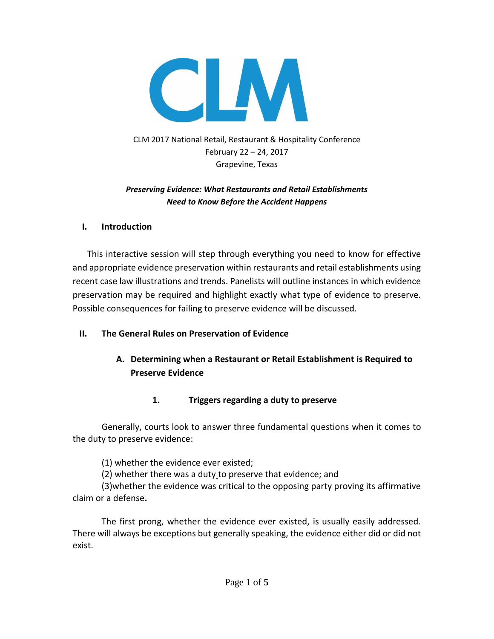

CLM 2017 National Retail, Restaurant & Hospitality Conference February 22 – 24, 2017 Grapevine, Texas

#### *Preserving Evidence: What Restaurants and Retail Establishments Need to Know Before the Accident Happens*

#### **I. Introduction**

This interactive session will step through everything you need to know for effective and appropriate evidence preservation within restaurants and retail establishments using recent case law illustrations and trends. Panelists will outline instances in which evidence preservation may be required and highlight exactly what type of evidence to preserve. Possible consequences for failing to preserve evidence will be discussed.

### **II. The General Rules on Preservation of Evidence**

# **A. Determining when a Restaurant or Retail Establishment is Required to Preserve Evidence**

### **1. Triggers regarding a duty to preserve**

Generally, courts look to answer three fundamental questions when it comes to the duty to preserve evidence:

(1) whether the evidence ever existed;

(2) whether there was a duty to preserve that evidence; and

(3)whether the evidence was critical to the opposing party proving its affirmative claim or a defense**.**

The first prong, whether the evidence ever existed, is usually easily addressed. There will always be exceptions but generally speaking, the evidence either did or did not exist.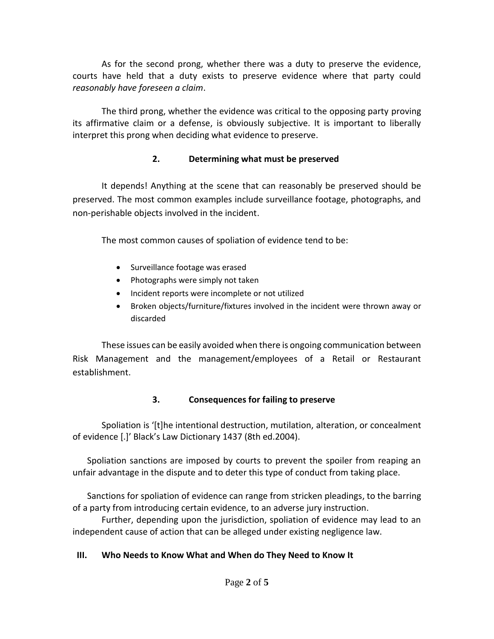As for the second prong, whether there was a duty to preserve the evidence, courts have held that a duty exists to preserve evidence where that party could *reasonably have foreseen a claim*.

The third prong, whether the evidence was critical to the opposing party proving its affirmative claim or a defense, is obviously subjective. It is important to liberally interpret this prong when deciding what evidence to preserve.

### **2. Determining what must be preserved**

It depends! Anything at the scene that can reasonably be preserved should be preserved. The most common examples include surveillance footage, photographs, and non-perishable objects involved in the incident.

The most common causes of spoliation of evidence tend to be:

- Surveillance footage was erased
- Photographs were simply not taken
- Incident reports were incomplete or not utilized
- Broken objects/furniture/fixtures involved in the incident were thrown away or discarded

These issues can be easily avoided when there is ongoing communication between Risk Management and the management/employees of a Retail or Restaurant establishment.

# **3. Consequences for failing to preserve**

Spoliation is '[t]he intentional destruction, mutilation, alteration, or concealment of evidence [.]' Black's Law Dictionary 1437 (8th ed.2004).

Spoliation sanctions are imposed by courts to prevent the spoiler from reaping an unfair advantage in the dispute and to deter this type of conduct from taking place.

Sanctions for spoliation of evidence can range from stricken pleadings, to the barring of a party from introducing certain evidence, to an adverse jury instruction.

Further, depending upon the jurisdiction, spoliation of evidence may lead to an independent cause of action that can be alleged under existing negligence law.

# **III. Who Needs to Know What and When do They Need to Know It**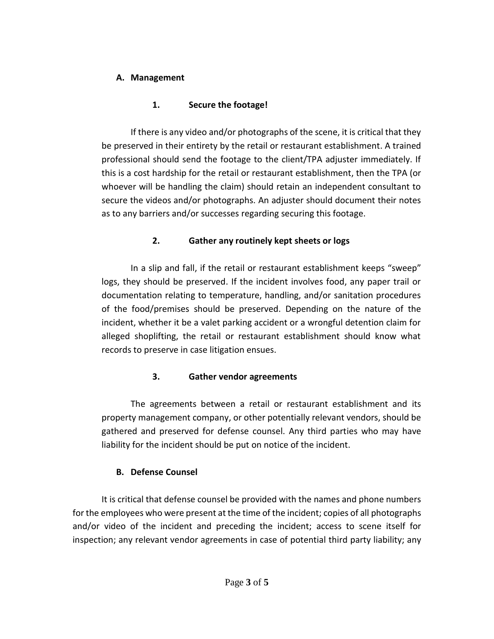## **A. Management**

# **1. Secure the footage!**

If there is any video and/or photographs of the scene, it is critical that they be preserved in their entirety by the retail or restaurant establishment. A trained professional should send the footage to the client/TPA adjuster immediately. If this is a cost hardship for the retail or restaurant establishment, then the TPA (or whoever will be handling the claim) should retain an independent consultant to secure the videos and/or photographs. An adjuster should document their notes as to any barriers and/or successes regarding securing this footage.

# **2. Gather any routinely kept sheets or logs**

In a slip and fall, if the retail or restaurant establishment keeps "sweep" logs, they should be preserved. If the incident involves food, any paper trail or documentation relating to temperature, handling, and/or sanitation procedures of the food/premises should be preserved. Depending on the nature of the incident, whether it be a valet parking accident or a wrongful detention claim for alleged shoplifting, the retail or restaurant establishment should know what records to preserve in case litigation ensues.

# **3. Gather vendor agreements**

The agreements between a retail or restaurant establishment and its property management company, or other potentially relevant vendors, should be gathered and preserved for defense counsel. Any third parties who may have liability for the incident should be put on notice of the incident.

# **B. Defense Counsel**

It is critical that defense counsel be provided with the names and phone numbers for the employees who were present at the time of the incident; copies of all photographs and/or video of the incident and preceding the incident; access to scene itself for inspection; any relevant vendor agreements in case of potential third party liability; any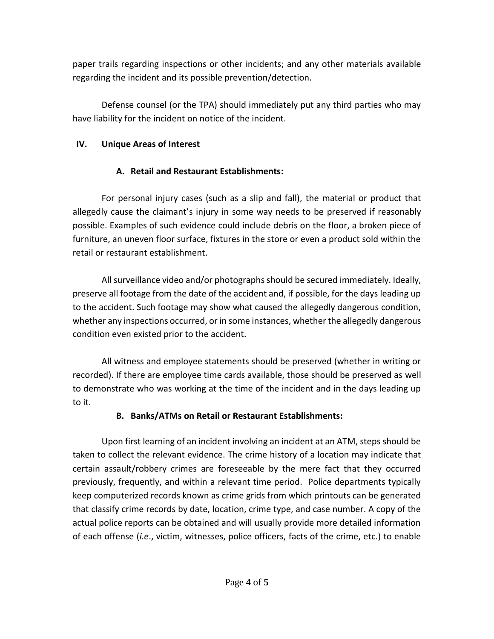paper trails regarding inspections or other incidents; and any other materials available regarding the incident and its possible prevention/detection.

Defense counsel (or the TPA) should immediately put any third parties who may have liability for the incident on notice of the incident.

## **IV. Unique Areas of Interest**

# **A. Retail and Restaurant Establishments:**

For personal injury cases (such as a slip and fall), the material or product that allegedly cause the claimant's injury in some way needs to be preserved if reasonably possible. Examples of such evidence could include debris on the floor, a broken piece of furniture, an uneven floor surface, fixtures in the store or even a product sold within the retail or restaurant establishment.

All surveillance video and/or photographs should be secured immediately. Ideally, preserve all footage from the date of the accident and, if possible, for the days leading up to the accident. Such footage may show what caused the allegedly dangerous condition, whether any inspections occurred, or in some instances, whether the allegedly dangerous condition even existed prior to the accident.

All witness and employee statements should be preserved (whether in writing or recorded). If there are employee time cards available, those should be preserved as well to demonstrate who was working at the time of the incident and in the days leading up to it.

# **B. Banks/ATMs on Retail or Restaurant Establishments:**

Upon first learning of an incident involving an incident at an ATM, steps should be taken to collect the relevant evidence. The crime history of a location may indicate that certain assault/robbery crimes are foreseeable by the mere fact that they occurred previously, frequently, and within a relevant time period. Police departments typically keep computerized records known as crime grids from which printouts can be generated that classify crime records by date, location, crime type, and case number. A copy of the actual police reports can be obtained and will usually provide more detailed information of each offense (*i.e*., victim, witnesses, police officers, facts of the crime, etc.) to enable